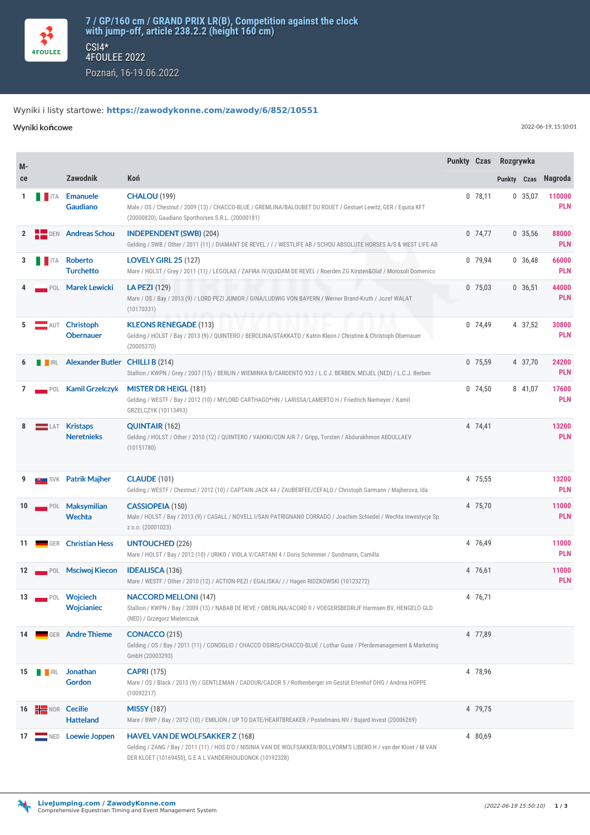

## Wyniki i listy startowe: **<https://zawodykonne.com/zawody/6/852/10551>**

Wyniki ko**ń**cowe 2022-06-19, 15:10:01

| M- |                    |                                             |                                                                                                                                                                                                                          | Punkty Czas Rozgrywka |           |             |           |                      |
|----|--------------------|---------------------------------------------|--------------------------------------------------------------------------------------------------------------------------------------------------------------------------------------------------------------------------|-----------------------|-----------|-------------|-----------|----------------------|
| ce |                    | <b>Zawodnik</b>                             | Koń                                                                                                                                                                                                                      |                       |           | Punkty Czas |           | <b>Nagroda</b>       |
| 1  | <b>THEFTA</b>      | Emanuele<br>Gaudiano                        | <b>CHALOU (199)</b><br>Male / OS / Chestnut / 2009 (13) / CHACCO-BLUE / GREMLINA/BALOUBET DU ROUET / Gestuet Lewitz, GER / Equita KFT<br>(20000820), Gaudiano Sporthorses S.R.L. (20000181)                              |                       | $0$ 78,11 |             | 0, 35, 07 | 110000<br><b>PLN</b> |
| 2  | $\blacksquare$ DEN | <b>Andreas Schou</b>                        | <b>INDEPENDENT (SWB) (204)</b><br>Gelding / SWB / Other / 2011 (11) / DIAMANT DE REVEL / / / WESTLIFE AB / SCHOU ABSOLUTE HORSES A/S & WEST LIFE AB                                                                      |                       | 0 74,77   |             | 0, 35, 56 | 88000<br><b>PLN</b>  |
| 3  | <b>THEFTA</b>      | Roberto<br><b>Turchetto</b>                 | <b>LOVELY GIRL 25 (127)</b><br>Mare / HOLST / Grey / 2011 (11) / LEGOLAS / ZAFIRA IV/QUIDAM DE REVEL / Roerden ZG Kirsten&Olaf / Morosoli Domenico                                                                       |                       | 0 79.94   |             | 0, 36, 48 | 66000<br><b>PLN</b>  |
|    |                    | POL Marek Lewicki                           | <b>LA PEZI</b> (129)<br>Mare / OS / Bay / 2013 (9) / LORD PEZI JUNIOR / GINA/LUDWIG VON BAYERN / Werner Brand-Kruth / Jozef WALAT<br>(10170331)                                                                          |                       | $0$ 75,03 |             | 0, 36, 51 | 44000<br><b>PLN</b>  |
| 5  | AUT                | Christoph<br><b>Obernauer</b>               | <b>KLEONS RENEGADE (113)</b><br>Gelding / HOLST / Bay / 2013 (9) / QUINTERO / BEROLINA/STAKKATO / Katrin Kleon / Christine & Christoph Obernauer<br>(20005370)                                                           |                       | 0 74,49   |             | 4 37,52   | 30800<br><b>PLN</b>  |
| 6  |                    | <b>TERL Alexander Butler CHILLI B (214)</b> | Stallion / KWPN / Grey / 2007 (15) / BERLIN / WIEMINKA B/CARDENTO 933 / L.C J. BERBEN, MEIJEL (NED) / L.C.J. Berben                                                                                                      |                       | 0 75.59   |             | 4 37,70   | 24200<br><b>PLN</b>  |
| 7  |                    | POL Kamil Grzelczyk                         | <b>MISTER DR HEIGL (181)</b><br>Gelding / WESTF / Bay / 2012 (10) / MYLORD CARTHAGO*HN / LARISSA/LAMERTO H / Friedrich Niemeyer / Kamil<br>GRZELCZYK (10113493)                                                          |                       | 0, 74, 50 |             | 8 41,07   | 17600<br><b>PLN</b>  |
| 8  | $=$ LAT            | <b>Kristaps</b><br><b>Neretnieks</b>        | <b>QUINTAIR (162)</b><br>Gelding / HOLST / Other / 2010 (12) / QUINTERO / VAIKIKI/CON AIR 7 / Gripp, Torsten / Abdurakhmon ABDULLAEV<br>(10151780)                                                                       |                       | 4 74,41   |             |           | 13200<br><b>PLN</b>  |
|    |                    | SVK Patrik Majher                           | <b>CLAUDE (101)</b><br>Gelding / WESTF / Chestnut / 2012 (10) / CAPTAIN JACK 44 / ZAUBERFEE/CEFALO / Christoph Garmann / Majherova, Ida                                                                                  |                       | 4 75,55   |             |           | 13200<br><b>PLN</b>  |
| 10 | POL                | Maksymilian<br>Wechta                       | <b>CASSIOPEIA (150)</b><br>Male / HOLST / Bay / 2013 (9) / CASALL / NOVELL I/SAN PATRIGNANO CORRADO / Joachim Schiedel / Wechta Inwestycje Sp.<br>Z 0.0. (20001023)                                                      |                       | 4 75,70   |             |           | 11000<br><b>PLN</b>  |
| 11 |                    | <b>GER Christian Hess</b>                   | <b>UNTOUCHED (226)</b><br>Mare / HOLST / Bay / 2012 (10) / URIKO / VIOLA V/CARTANI 4 / Doris Schimmer / Sundmann, Camilla                                                                                                |                       | 4 76,49   |             |           | 11000<br><b>PLN</b>  |
| 12 |                    | POL Msciwoj Kiecon                          | <b>IDEALISCA</b> (136)<br>Mare / WESTF / Other / 2010 (12) / ACTION-PEZI / EGALISKA/ / / Hagen RIDZKOWSKI (10123272)                                                                                                     |                       | 4 76,61   |             |           | 11000<br><b>PLN</b>  |
| 13 |                    | POL Wojciech<br><b>Wojcianiec</b>           | <b>NACCORD MELLONI (147)</b><br>Stallion / KWPN / Bay / 2009 (13) / NABAB DE REVE / OBERLINA/ACORD II / VOEGERSBEDRIJF Harmsen BV, HENGELO GLD<br>(NED) / Grzegorz Mielenczuk                                            |                       | 4 76,71   |             |           |                      |
| 14 |                    | GER Andre Thieme                            | <b>CONACCO (215)</b><br>Gelding / OS / Bay / 2011 (11) / CONOGLIO / CHACCO OSIRIS/CHACCO-BLUE / Lothar Guse / Pferdemanagement & Marketing<br>GmbH (20003293)                                                            |                       | 4 77,89   |             |           |                      |
| 15 | <b>THE IRL</b>     | Jonathan<br>Gordon                          | <b>CAPRI (175)</b><br>Mare / OS / Black / 2013 (9) / GENTLEMAN / CADOUR/CADOR 5 / Rothenberger im Gestüt Erlenhof OHG / Andrea HOPPE<br>(10092217)                                                                       |                       | 4 78,96   |             |           |                      |
| 16 | $H$ NOR Cecilie    | <b>Hatteland</b>                            | <b>MISSY</b> (187)<br>Mare / BWP / Bay / 2012 (10) / EMILION / UP TO DATE/HEARTBREAKER / Postelmans NV / Bujard Invest (20006269)                                                                                        |                       | 4 79,75   |             |           |                      |
| 17 | $\blacksquare$ NED | Loewie Joppen                               | <b>HAVEL VAN DE WOLFSAKKER Z (168)</b><br>Gelding / ZANG / Bay / 2011 (11) / HOS D'O / NISINIA VAN DE WOLFSAKKER/BOLLVORM'S LIBERO H / van der Kloet / M VAN<br>DER KLOET (10169450), G E A L VANDERHOIJDONCK (10192328) |                       | 4 80,69   |             |           |                      |

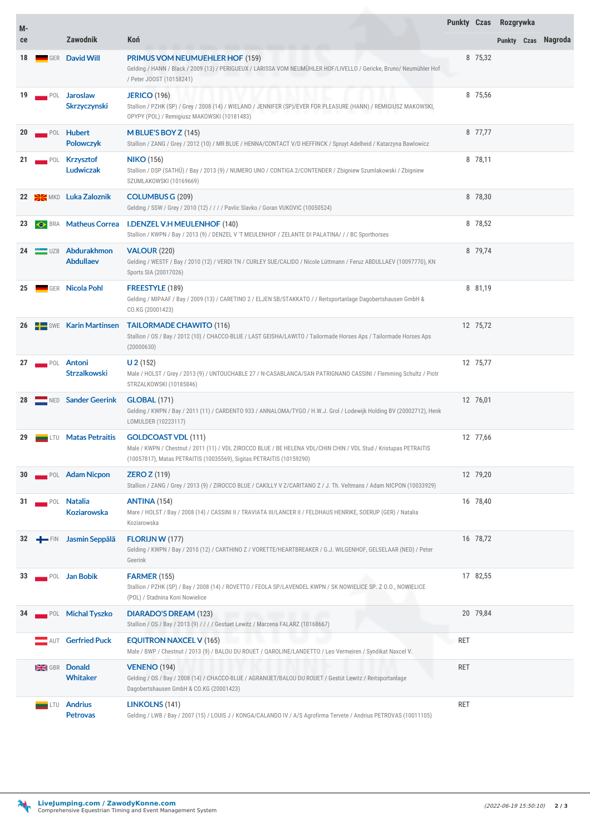| M- |                    |                                        |                                                                                                                                                                                                                        | <b>Punkty Czas</b> |          | Rozgrywka |                     |
|----|--------------------|----------------------------------------|------------------------------------------------------------------------------------------------------------------------------------------------------------------------------------------------------------------------|--------------------|----------|-----------|---------------------|
| ce |                    | <b>Zawodnik</b>                        | Koń                                                                                                                                                                                                                    |                    |          |           | Punkty Czas Nagroda |
| 18 |                    | <b>GER David Will</b>                  | <b>PRIMUS VOM NEUMUEHLER HOF (159)</b><br>Gelding / HANN / Black / 2009 (13) / PERIGUEUX / LARISSA VOM NEUMÜHLER HOF/LIVELLO / Gericke, Bruno/ Neumühler Hof<br>/ Peter JOOST (10158241)                               |                    | 8 75,32  |           |                     |
| 19 |                    | POL Jaroslaw<br><b>Skrzyczynski</b>    | <b>JERICO (196)</b><br>Stallion / PZHK (SP) / Grey / 2008 (14) / WIELAND / JENNIFER (SP)/EVER FOR PLEASURE (HANN) / REMIGIUSZ MAKOWSKI,<br>OPYPY (POL) / Remigiusz MAKOWSKI (10181483)                                 |                    | 8 75,56  |           |                     |
| 20 |                    | POL Hubert<br><b>Polowczyk</b>         | M BLUE'S BOY $Z(145)$<br>Stallion / ZANG / Grey / 2012 (10) / MR BLUE / HENNA/CONTACT V/D HEFFINCK / Spruyt Adelheid / Katarzyna Bawlowicz                                                                             |                    | 8 77,77  |           |                     |
| 21 |                    | POL Krzysztof<br>Ludwiczak             | <b>NIKO</b> (156)<br>Stallion / DSP (SATHÜ) / Bay / 2013 (9) / NUMERO UNO / CONTIGA 2/CONTENDER / Zbigniew Szumlakowski / Zbigniew<br>SZUMLAKOWSKI (10169669)                                                          |                    | 8 78,11  |           |                     |
|    |                    | 22 SEMKD Luka Zaloznik                 | <b>COLUMBUS G (209)</b><br>Gelding / SSW / Grey / 2010 (12) / / / / Pavlic Slavko / Goran VUKOVIC (10050524)                                                                                                           |                    | 8 78,30  |           |                     |
| 23 |                    | <b>SERA</b> Matheus Correa             | <b>I.DENZEL V.H MEULENHOF (140)</b><br>Stallion / KWPN / Bay / 2013 (9) / DENZEL V 'T MEULENHOF / ZELANTE DI PALATINA/ / / BC Sporthorses                                                                              |                    | 8 78,52  |           |                     |
|    |                    | 24 UZB Abdurakhmon<br><b>Abdullaev</b> | <b>VALOUR (220)</b><br>Gelding / WESTF / Bay / 2010 (12) / VERDI TN / CURLEY SUE/CALIDO / Nicole Lüttmann / Feruz ABDULLAEV (10097770), KN<br>Sports SIA (20017026)                                                    |                    | 8 79,74  |           |                     |
| 25 |                    | <b>GER Nicola Pohl</b>                 | FREESTYLE (189)<br>Gelding / MIPAAF / Bay / 2009 (13) / CARETINO 2 / ELJEN SB/STAKKATO / / Reitsportanlage Dagobertshausen GmbH &<br>CO.KG (20001423)                                                                  |                    | 8 81,19  |           |                     |
| 26 |                    | <b>Example 3 Karin Martinsen</b>       | <b>TAILORMADE CHAWITO (116)</b><br>Stallion / OS / Bay / 2012 (10) / CHACCO-BLUE / LAST GEISHA/LAWITO / Tailormade Horses Aps / Tailormade Horses Aps<br>(20000630)                                                    |                    | 12 75,72 |           |                     |
| 27 | POL                | Antoni<br><b>Strzalkowski</b>          | $U$ 2 (152)<br>Male / HOLST / Grey / 2013 (9) / UNTOUCHABLE 27 / N-CASABLANCA/SAN PATRIGNANO CASSINI / Flemming Schultz / Piotr<br>STRZALKOWSKI (10185846)                                                             |                    | 12 75,77 |           |                     |
|    |                    | NED Sander Geerink                     | <b>GLOBAL (171)</b><br>Gelding / KWPN / Bay / 2011 (11) / CARDENTO 933 / ANNALOMA/TYGO / H.W.J. Grol / Lodewijk Holding BV (20002712), Henk<br>LOMULDER (10223117)                                                     |                    | 12 76,01 |           |                     |
| 29 | LTU                | <b>Matas Petraitis</b>                 | <b>GOLDCOAST VDL (111)</b><br>Male / KWPN / Chestnut / 2011 (11) / VDL ZIROCCO BLUE / BE HELENA VDL/CHIN CHIN / VDL Stud / Kristupas PETRAITIS<br>(10057817), Matas PETRAITIS (10035569), Sigitas PETRAITIS (10159290) |                    | 12 77,66 |           |                     |
| 30 |                    | POL Adam Nicpon                        | <b>ZERO Z</b> (119)<br>Stallion / ZANG / Grey / 2013 (9) / ZIROCCO BLUE / CAKILLY V Z/CARITANO Z / J. Th. Veltmans / Adam NICPON (10033929)                                                                            |                    | 12 79,20 |           |                     |
| 31 | $\blacksquare$ POL | <b>Natalia</b><br><b>Koziarowska</b>   | <b>ANTINA (154)</b><br>Mare / HOLST / Bay / 2008 (14) / CASSINI II / TRAVIATA III/LANCER II / FELDHAUS HENRIKE, SOERUP (GER) / Natalia<br>Koziarowska                                                                  |                    | 16 78,40 |           |                     |
| 32 | $-$ FIN            | Jasmin Seppälä                         | <b>FLORIJN W (177)</b><br>Gelding / KWPN / Bay / 2010 (12) / CARTHINO Z / VORETTE/HEARTBREAKER / G.J. WILGENHOF, GELSELAAR (NED) / Peter<br>Geerink                                                                    |                    | 16 78,72 |           |                     |
| 33 |                    | POL Jan Bobik                          | <b>FARMER (155)</b><br>Stallion / PZHK (SP) / Bay / 2008 (14) / ROVETTO / FEOLA SP/LAVENDEL KWPN / SK NOWIELICE SP. Z 0.0., NOWIELICE<br>(POL) / Stadnina Koni Nowielice                                               |                    | 17 82,55 |           |                     |
| 34 |                    | POL Michal Tyszko                      | <b>DIARADO'S DREAM (123)</b><br>Stallion / OS / Bay / 2013 (9) / / / / Gestuet Lewitz / Marzena FALARZ (10168667)                                                                                                      |                    | 20 79,84 |           |                     |
|    |                    | <b>Gerfried Puck</b>                   | <b>EQUITRON NAXCEL V (165)</b><br>Male / BWP / Chestnut / 2013 (9) / BALOU DU ROUET / QAROLINE/LANDETTO / Leo Vermeiren / Syndikat Naxcel V.                                                                           | RET                |          |           |                     |
|    | GBR                | <b>Donald</b><br><b>Whitaker</b>       | <b>VENENO (194)</b><br>Gelding / OS / Bay / 2008 (14) / CHACCO-BLUE / AGRANUET/BALOU DU ROUET / Gestüt Lewitz / Reitsportanlage<br>Dagobertshausen GmbH & CO.KG (20001423)                                             | <b>RET</b>         |          |           |                     |
|    | .TU                | <b>Andrius</b><br><b>Petrovas</b>      | LINKOLNS (141)<br>Gelding / LWB / Bay / 2007 (15) / LOUIS J / KONGA/CALANDO IV / A/S Agrofirma Tervete / Andrius PETROVAS (10011105)                                                                                   | <b>RET</b>         |          |           |                     |